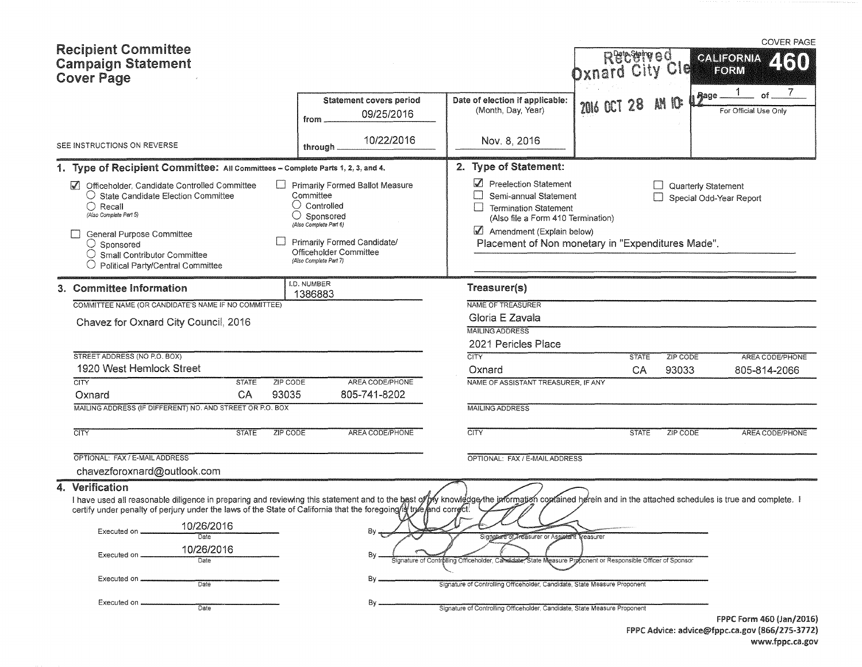| <b>Recipient Committee</b><br><b>Campaign Statement</b><br><b>Cover Page</b>                                                                                                                                                                                                                                                                                     |                                                                                                                                                                                                        |                                                                                                                                                                                                        | Received<br><b>Dxnard City Cle</b> |                     | <b>COVER PAGE</b><br>CALIFORNIA<br><b>KII</b><br>FORM |
|------------------------------------------------------------------------------------------------------------------------------------------------------------------------------------------------------------------------------------------------------------------------------------------------------------------------------------------------------------------|--------------------------------------------------------------------------------------------------------------------------------------------------------------------------------------------------------|--------------------------------------------------------------------------------------------------------------------------------------------------------------------------------------------------------|------------------------------------|---------------------|-------------------------------------------------------|
|                                                                                                                                                                                                                                                                                                                                                                  | Statement covers period<br>09/25/2016<br>from                                                                                                                                                          | Date of election if applicable:<br>(Month, Day, Year)                                                                                                                                                  | 2016 OCT 28                        | Aage _<br>AM IO:    | of.<br>For Official Use Only                          |
| SEE INSTRUCTIONS ON REVERSE                                                                                                                                                                                                                                                                                                                                      | 10/22/2016<br>through                                                                                                                                                                                  | Nov. 8, 2016                                                                                                                                                                                           |                                    |                     |                                                       |
| 1. Type of Recipient Committee: All Committees - Complete Parts 1, 2, 3, and 4.                                                                                                                                                                                                                                                                                  |                                                                                                                                                                                                        | 2. Type of Statement:                                                                                                                                                                                  |                                    |                     |                                                       |
| Officeholder, Candidate Controlled Committee<br>○ State Candidate Election Committee<br>$\bigcirc$ Recall<br>(Also Complete Part 5)<br>General Purpose Committee<br>$\bigcirc$ Sponsored<br>Small Contributor Committee<br>$\bigcirc$ Political Party/Central Committee                                                                                          | Primarily Formed Ballot Measure<br>Committee<br>$\cup$ Controlled<br>$\bigcirc$ Sponsored<br>(Also Complete Part 6)<br>Primarily Formed Candidate/<br>Officeholder Committee<br>(Also Complete Part 7) | Preelection Statement<br>Semi-annual Statement<br><b>Termination Statement</b><br>(Also file a Form 410 Termination)<br>Amendment (Explain below)<br>Placement of Non monetary in "Expenditures Made". |                                    | Quarterly Statement | Special Odd-Year Report                               |
| 3. Committee Information                                                                                                                                                                                                                                                                                                                                         | I.D. NUMBER<br>1386883                                                                                                                                                                                 | Treasurer(s)                                                                                                                                                                                           |                                    |                     |                                                       |
| COMMITTEE NAME (OR CANDIDATE'S NAME IF NO COMMITTEE)                                                                                                                                                                                                                                                                                                             |                                                                                                                                                                                                        | NAME OF TREASURER                                                                                                                                                                                      |                                    |                     |                                                       |
| Chavez for Oxnard City Council, 2016                                                                                                                                                                                                                                                                                                                             |                                                                                                                                                                                                        | Gloria E Zavala                                                                                                                                                                                        |                                    |                     |                                                       |
|                                                                                                                                                                                                                                                                                                                                                                  |                                                                                                                                                                                                        | <b>MAILING ADDRESS</b>                                                                                                                                                                                 |                                    |                     |                                                       |
|                                                                                                                                                                                                                                                                                                                                                                  |                                                                                                                                                                                                        | 2021 Pericles Place                                                                                                                                                                                    |                                    |                     |                                                       |
| STREET ADDRESS (NO P.O. BOX)                                                                                                                                                                                                                                                                                                                                     |                                                                                                                                                                                                        | CITY                                                                                                                                                                                                   | <b>STATE</b>                       | ZIP CODE            | AREA CODE/PHONE                                       |
| 1920 West Hemlock Street                                                                                                                                                                                                                                                                                                                                         |                                                                                                                                                                                                        | Oxnard                                                                                                                                                                                                 | CA                                 | 93033               | 805-814-2066                                          |
| <b>CITY</b><br><b>STATE</b>                                                                                                                                                                                                                                                                                                                                      | AREA CODE/PHONE<br>ZIP CODE                                                                                                                                                                            | NAME OF ASSISTANT TREASURER, IF ANY                                                                                                                                                                    |                                    |                     |                                                       |
| CA<br>Oxnard<br>MAILING ADDRESS (IF DIFFERENT) NO. AND STREET OR P.O. BOX                                                                                                                                                                                                                                                                                        | 93035<br>805-741-8202                                                                                                                                                                                  |                                                                                                                                                                                                        |                                    |                     |                                                       |
|                                                                                                                                                                                                                                                                                                                                                                  |                                                                                                                                                                                                        | <b>MAILING ADDRESS</b>                                                                                                                                                                                 |                                    |                     |                                                       |
| <b>CITY</b><br><b>STATE</b>                                                                                                                                                                                                                                                                                                                                      | ZIP CODE<br>AREA CODE/PHONE                                                                                                                                                                            | <b>CITY</b>                                                                                                                                                                                            | <b>STATE</b>                       | ZIP CODE            | AREA CODE/PHONE                                       |
| OPTIONAL: FAX / E-MAIL ADDRESS                                                                                                                                                                                                                                                                                                                                   |                                                                                                                                                                                                        | OPTIONAL: FAX / E-MAIL ADDRESS                                                                                                                                                                         |                                    |                     |                                                       |
| chavezforoxnard@outlook.com                                                                                                                                                                                                                                                                                                                                      |                                                                                                                                                                                                        |                                                                                                                                                                                                        |                                    |                     |                                                       |
| 4. Verification                                                                                                                                                                                                                                                                                                                                                  |                                                                                                                                                                                                        |                                                                                                                                                                                                        |                                    |                     |                                                       |
| I have used all reasonable diligence in preparing and reviewing this statement and to the bast of by knowledge the jaformation coprained herein and in the attached schedules is true and complete. I<br>certify under penalty of perjury under the laws of the State of California that the foregoing is true and correct!<br>10/26/2016<br>Executed on<br>Date |                                                                                                                                                                                                        |                                                                                                                                                                                                        |                                    |                     |                                                       |
| 10/26/2016                                                                                                                                                                                                                                                                                                                                                       |                                                                                                                                                                                                        | Signature of Treasurer or Assistant Treasurer                                                                                                                                                          |                                    |                     |                                                       |
| Executed on<br>Date                                                                                                                                                                                                                                                                                                                                              | By                                                                                                                                                                                                     | Signature of Controlling Officeholder, Cardidate, State Measure Proponent or Responsible Officer of Sponsor                                                                                            |                                    |                     |                                                       |
| Executed on.<br>Date                                                                                                                                                                                                                                                                                                                                             | Bγ                                                                                                                                                                                                     | Signature of Controlling Officeholder, Candidate, State Measure Proponent                                                                                                                              |                                    |                     |                                                       |
| Executed on                                                                                                                                                                                                                                                                                                                                                      | By.                                                                                                                                                                                                    |                                                                                                                                                                                                        |                                    |                     |                                                       |
| Date                                                                                                                                                                                                                                                                                                                                                             |                                                                                                                                                                                                        | Signature of Controlling Officeholder, Candidate, State Measure Proponent                                                                                                                              |                                    |                     | FPPC Form 460 (Jan/2016)                              |

FPPC Advice: advice@fppc.ca.gov (866/275-3772) www.fppc.ca.gov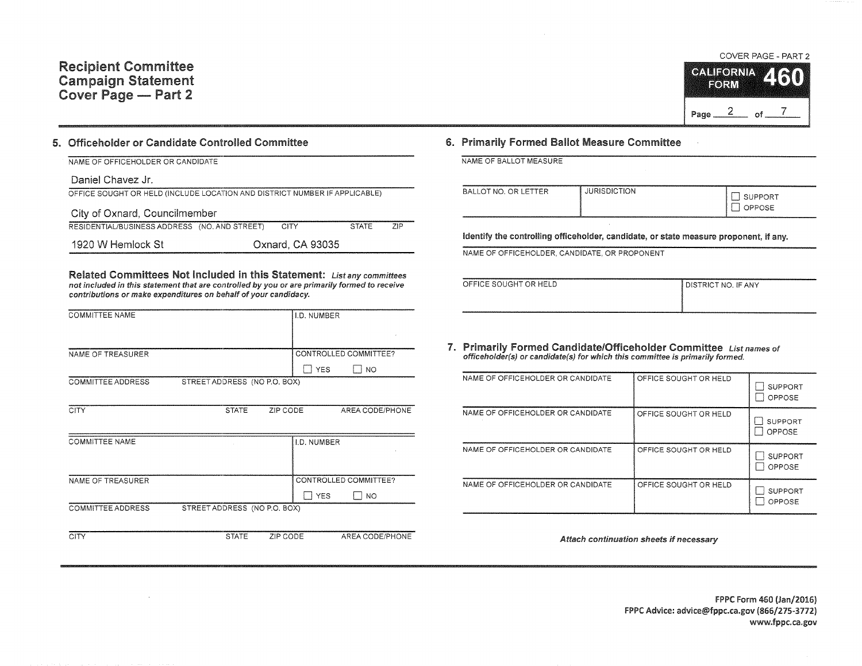

## 5. Officeholder or Candidate Controlled Committee

| NAME OF OFFICEHOLDER OR CANDIDATE                                          |                  |              |            |
|----------------------------------------------------------------------------|------------------|--------------|------------|
| Daniel Chavez Jr.                                                          |                  |              |            |
| OFFICE SOUGHT OR HELD (INCLUDE LOCATION AND DISTRICT NUMBER IF APPLICABLE) |                  |              |            |
| City of Oxnard, Councilmember                                              |                  |              |            |
| RESIDENTIAL/BUSINESS ADDRESS (NO, AND STREET)                              | <b>CITY</b>      | <b>STATE</b> | <b>ZIP</b> |
| 1920 W Hemlock St                                                          | Oxnard, CA 93035 |              |            |

Related Committees Not Included in this Statement: List any committees not included in this statement that are controlled by you or are primarily formed to receive contributions or make expenditures on behalf of your candidacy.

| <b>COMMITTEE NAME</b>    |                              | I.D. NUMBER           |           |
|--------------------------|------------------------------|-----------------------|-----------|
|                          |                              |                       |           |
|                          |                              |                       |           |
|                          |                              |                       |           |
| NAME OF TREASURER        |                              | CONTROLLED COMMITTEE? |           |
|                          |                              | <b>YFS</b>            | <b>NO</b> |
| <b>COMMITTEE ADDRESS</b> | STREET ADDRESS (NO P.O. BOX) |                       |           |

| <b>CITY</b>              | <b>STATE</b>                 | ZIP CODE    | AREA CODE/PHONE       |
|--------------------------|------------------------------|-------------|-----------------------|
| <b>COMMITTEE NAME</b>    |                              | I.D. NUMBER |                       |
| NAME OF TREASURER        |                              |             | CONTROLLED COMMITTEE? |
|                          |                              | <b>YES</b>  | NO.                   |
| <b>COMMITTEE ADDRESS</b> | STREET ADDRESS (NO P.O. BOX) |             |                       |

CITY STATE ZIP CODE AREA CODE/PHONE

## 6. Primarily Formed Ballot Measure Committee

|  | NAME OF BALLOT MEASURE |
|--|------------------------|
|  |                        |

| <b>ETTER</b><br>BALLOT NO. OR L<br>$-1$ | <b>JURISDICTION</b> | SUPPORT<br><b>PPOSE</b> |
|-----------------------------------------|---------------------|-------------------------|
|-----------------------------------------|---------------------|-------------------------|

Identify the controlling officeholder, candidate, or state measure proponent, if any.

NAME OF OFFICEHOLDER, CANDIDATE, OR PROPONENT

| OFFICE SOUGHT OR HELD | DISTRICT NO. IF ANY |
|-----------------------|---------------------|
|                       |                     |
|                       |                     |

7. Primarily Formed Candidate/Officeholder Committee List names of officeholder(s) or candidate(s) for which this committee is primarily formed.

| NAME OF OFFICEHOLDER OR CANDIDATE | OFFICE SOUGHT OR HELD | <b>SUPPORT</b><br>OPPOSE |
|-----------------------------------|-----------------------|--------------------------|
| NAME OF OFFICEHOLDER OR CANDIDATE | OFFICE SOUGHT OR HELD | <b>SUPPORT</b><br>OPPOSE |
| NAME OF OFFICEHOLDER OR CANDIDATE | OFFICE SOUGHT OR HELD | <b>SUPPORT</b><br>OPPOSE |
| NAME OF OFFICEHOLDER OR CANDIDATE | OFFICE SOUGHT OR HELD | <b>SUPPORT</b><br>OPPOSE |

Attach continuation sheets if necessary

FPPC Form 460 (Jan/2016) FPPC Advice: advice@fppc.ca.gov (866/275-3772) www.fppc.ca.gov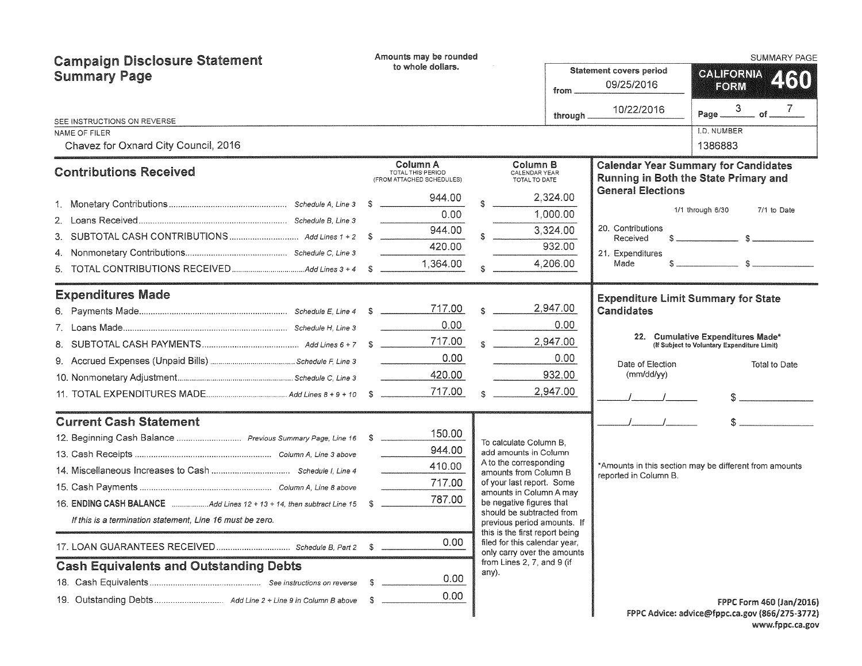| <b>Campaign Disclosure Statement</b>                          |                                               | Amounts may be rounded<br>to whole dollars.                |  |                                                                                                |          |                                            | <b>SUMMARY PAGE</b>                                                                  |
|---------------------------------------------------------------|-----------------------------------------------|------------------------------------------------------------|--|------------------------------------------------------------------------------------------------|----------|--------------------------------------------|--------------------------------------------------------------------------------------|
| <b>Summary Page</b>                                           | Statement covers period<br>09/25/2016<br>from |                                                            |  |                                                                                                |          |                                            | <b>CALIFORNIA</b><br>2160<br>FORM                                                    |
| SEE INSTRUCTIONS ON REVERSE                                   |                                               |                                                            |  |                                                                                                | through  | 10/22/2016                                 | Page $\frac{3}{2}$<br>$-$ of $ 7$                                                    |
| NAME OF FILER                                                 |                                               |                                                            |  |                                                                                                |          |                                            | I.D. NUMBER                                                                          |
| Chavez for Oxnard City Council, 2016                          |                                               |                                                            |  |                                                                                                |          |                                            | 1386883                                                                              |
| <b>Contributions Received</b>                                 |                                               | Column A<br>TOTAL THIS PERIOD<br>(FROM ATTACHED SCHEDULES) |  | Column B<br>CALENDAR YEAR<br>TOTAL TO DATE                                                     |          |                                            | <b>Calendar Year Summary for Candidates</b><br>Running in Both the State Primary and |
|                                                               |                                               | 944.00                                                     |  |                                                                                                | 2,324.00 | <b>General Elections</b>                   |                                                                                      |
|                                                               |                                               | 0.00                                                       |  |                                                                                                | 1,000.00 |                                            | 1/1 through 6/30<br>7/1 to Date                                                      |
|                                                               |                                               | 944.00<br>$\frac{1}{2}$                                    |  |                                                                                                | 3,324.00 | 20. Contributions<br>Received              |                                                                                      |
|                                                               |                                               | 420.00                                                     |  |                                                                                                | 932.00   | 21. Expenditures                           |                                                                                      |
| 5.                                                            |                                               | 1,364.00                                                   |  |                                                                                                | 4,206.00 | Made                                       | $s$ $s$                                                                              |
| <b>Expenditures Made</b>                                      |                                               |                                                            |  |                                                                                                |          | <b>Expenditure Limit Summary for State</b> |                                                                                      |
|                                                               |                                               | 717.00                                                     |  | $\mathbf{C}$                                                                                   | 2,947.00 | Candidates                                 |                                                                                      |
|                                                               |                                               | 0.00 <sub>1</sub>                                          |  |                                                                                                | 0.00     |                                            |                                                                                      |
|                                                               |                                               | 717.00                                                     |  |                                                                                                | 2,947.00 |                                            | 22. Cumulative Expenditures Made*<br>(If Subject to Voluntary Expenditure Limit)     |
|                                                               |                                               | 0.00                                                       |  |                                                                                                | 0.00     | Date of Election                           | Total to Date                                                                        |
|                                                               |                                               | 420.00                                                     |  |                                                                                                | 932.00   | $(mm/dd/\gamma y)$                         |                                                                                      |
|                                                               |                                               | 717.00                                                     |  |                                                                                                | 2,947.00 |                                            | S                                                                                    |
| <b>Current Cash Statement</b>                                 |                                               |                                                            |  |                                                                                                |          |                                            | $S$ and $\sim$                                                                       |
| 12. Beginning Cash Balance  Previous Summary Page, Line 16 \$ |                                               | 150.00                                                     |  | To calculate Column B.                                                                         |          |                                            |                                                                                      |
|                                                               |                                               | 944.00                                                     |  | add amounts in Column                                                                          |          |                                            |                                                                                      |
|                                                               |                                               | 410.00                                                     |  | A to the corresponding<br>amounts from Column B                                                |          | reported in Column B.                      | *Amounts in this section may be different from amounts                               |
|                                                               |                                               | 717.00                                                     |  | of your last report. Some<br>amounts in Column A may                                           |          |                                            |                                                                                      |
|                                                               |                                               | 787.00                                                     |  | be negative figures that                                                                       |          |                                            |                                                                                      |
| If this is a termination statement, Line 16 must be zero.     |                                               |                                                            |  | should be subtracted from<br>previous period amounts. If                                       |          |                                            |                                                                                      |
|                                                               |                                               | 0.00                                                       |  | this is the first report being<br>filed for this calendar year,<br>only carry over the amounts |          |                                            |                                                                                      |
| <b>Cash Equivalents and Outstanding Debts</b>                 |                                               |                                                            |  | from Lines 2, 7, and 9 (if<br>any).                                                            |          |                                            |                                                                                      |
|                                                               | - \$                                          | 0.00                                                       |  |                                                                                                |          |                                            |                                                                                      |
|                                                               | - \$                                          | 0.00                                                       |  |                                                                                                |          |                                            | FPPC Form 460 (Jan/2016)                                                             |
|                                                               |                                               |                                                            |  |                                                                                                |          |                                            | FPPC Advice: advice@fppc.ca.gov (866/275-3772)<br>www.fpnc.ca.gov                    |

| vice: advice@fppc.ca.gov (866/275-3772) |                 |
|-----------------------------------------|-----------------|
|                                         | www.fppc.ca.gov |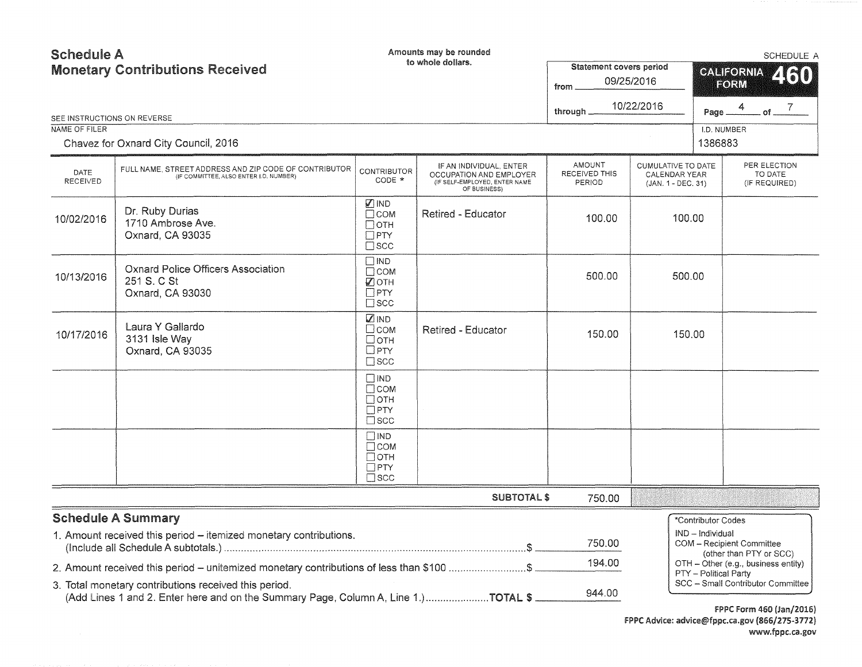| <b>Schedule A</b><br><b>Monetary Contributions Received</b> |                                                                                                                                             |                                                                               | Amounts may be rounded<br>to whole dollars.                                                         | Statement covers period           |                                                           | SCHEDULE A<br><b>CALIFORNIA</b><br>460                                                         |  |  |
|-------------------------------------------------------------|---------------------------------------------------------------------------------------------------------------------------------------------|-------------------------------------------------------------------------------|-----------------------------------------------------------------------------------------------------|-----------------------------------|-----------------------------------------------------------|------------------------------------------------------------------------------------------------|--|--|
|                                                             |                                                                                                                                             |                                                                               |                                                                                                     | from                              | 09/25/2016                                                | FORM                                                                                           |  |  |
| SEE INSTRUCTIONS ON REVERSE                                 |                                                                                                                                             |                                                                               |                                                                                                     | through.                          | 10/22/2016                                                | Page $\frac{4}{\sqrt{7}}$ of $\frac{7}{\sqrt{7}}$                                              |  |  |
| NAME OF FILER                                               | Chavez for Oxnard City Council, 2016                                                                                                        |                                                                               |                                                                                                     |                                   |                                                           | I.D. NUMBER<br>1386883                                                                         |  |  |
| <b>DATE</b><br>RECEIVED                                     | FULL NAME, STREET ADDRESS AND ZIP CODE OF CONTRIBUTOR<br>(IF COMMITTEE, ALSO ENTER I.D. NUMBER)                                             | <b>CONTRIBUTOR</b><br>CODE *                                                  | IF AN INDIVIDUAL, ENTER<br>OCCUPATION AND EMPLOYER<br>(IF SELF-EMPLOYED, ENTER NAME<br>OF BUSINESS) | AMOUNT<br>RECEIVED THIS<br>PERIOD | CUMULATIVE TO DATE<br>CALENDAR YEAR<br>(JAN. 1 - DEC. 31) | PER ELECTION<br>TO DATE<br>(IF REQUIRED)                                                       |  |  |
| 10/02/2016                                                  | Dr. Ruby Durias<br>1710 Ambrose Ave.<br>Oxnard, CA 93035                                                                                    | Ø IND<br>Псом<br>$\Box$ OTH<br>$\square$ PTY<br>$\square$ scc                 | <b>Retired - Educator</b>                                                                           | 100.00                            | 100.00                                                    |                                                                                                |  |  |
| 10/13/2016                                                  | <b>Oxnard Police Officers Association</b><br>251 S. C St<br>Oxnard, CA 93030                                                                | $\square$ IND<br>$\Box$ COM<br>$\mathbb Z$ oth<br>$\Box$ PTY<br>$\square$ scc |                                                                                                     | 500.00                            | 500.00                                                    |                                                                                                |  |  |
| 10/17/2016                                                  | Laura Y Gallardo<br>3131 Isle Way<br>Oxnard, CA 93035                                                                                       | $\n  Z IND\n$<br>$\Box$ COM<br>$\Box$ OTH<br>$\Box$ PTY<br>$\square$ SCC      | <b>Retired - Educator</b>                                                                           | 150.00                            | 150.00                                                    |                                                                                                |  |  |
|                                                             |                                                                                                                                             | $\Box$ IND<br>$\Box$ COM<br>$\Box$ OTH<br>$\Box$ PTY<br>$\square$ scc         |                                                                                                     |                                   |                                                           |                                                                                                |  |  |
|                                                             |                                                                                                                                             | $\square$ IND<br>$\Box$ COM<br>Потн<br>$\square$ PTY<br>$\Box$ SCC            |                                                                                                     |                                   |                                                           |                                                                                                |  |  |
|                                                             |                                                                                                                                             |                                                                               | <b>SUBTOTAL \$</b>                                                                                  | 750.00                            |                                                           |                                                                                                |  |  |
|                                                             | <b>Schedule A Summary</b>                                                                                                                   |                                                                               |                                                                                                     |                                   |                                                           | *Contributor Codes                                                                             |  |  |
|                                                             | 1. Amount received this period - itemized monetary contributions.                                                                           |                                                                               |                                                                                                     | 750.00                            |                                                           | IND - Individual<br>COM - Recipient Committee                                                  |  |  |
|                                                             | 2. Amount received this period - unitemized monetary contributions of less than \$100 \$                                                    |                                                                               |                                                                                                     | 194.00                            |                                                           | (other than PTY or SCC)<br>OTH - Other (e.g., business entity)<br><b>PTY</b> - Political Party |  |  |
|                                                             | 3. Total monetary contributions received this period.<br>(Add Lines 1 and 2. Enter here and on the Summary Page, Column A, Line 1.)TOTAL \$ |                                                                               |                                                                                                     | 944.00                            |                                                           | SCC - Small Contributor Committee                                                              |  |  |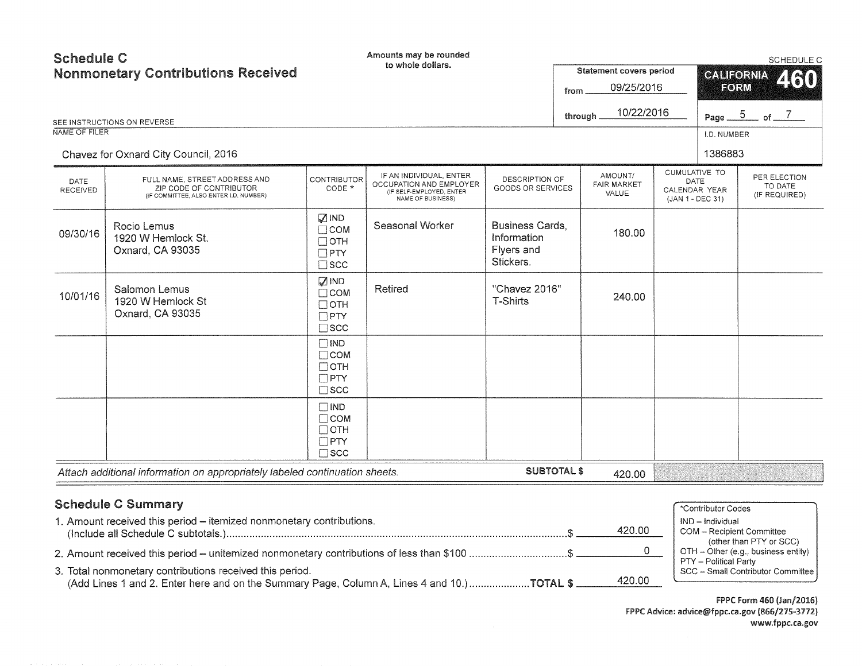| <b>Schedule C</b>              | <b>Nonmonetary Contributions Received</b><br>SEE INSTRUCTIONS ON REVERSE                           |                                                                            | Amounts may be rounded<br>to whole dollars.                                                         |                                                                  | from | <b>Statement covers period</b><br>09/25/2016<br>10/22/2016<br>through |                                                                   | <b>CALIFORNIA</b><br>FORM | SCHEDULE C<br>460<br>Page $\frac{5}{2}$ of $\frac{7}{2}$ |
|--------------------------------|----------------------------------------------------------------------------------------------------|----------------------------------------------------------------------------|-----------------------------------------------------------------------------------------------------|------------------------------------------------------------------|------|-----------------------------------------------------------------------|-------------------------------------------------------------------|---------------------------|----------------------------------------------------------|
| NAME OF FILER                  |                                                                                                    |                                                                            |                                                                                                     |                                                                  |      |                                                                       |                                                                   | I.D. NUMBER               |                                                          |
|                                | Chavez for Oxnard City Council, 2016                                                               |                                                                            |                                                                                                     |                                                                  |      |                                                                       |                                                                   | 1386883                   |                                                          |
| <b>DATE</b><br><b>RECEIVED</b> | FULL NAME, STREET ADDRESS AND<br>ZIP CODE OF CONTRIBUTOR<br>(IF COMMITTEE, ALSO ENTER I.D. NUMBER) | <b>CONTRIBUTOR</b><br>CODE *                                               | IF AN INDIVIDUAL, ENTER<br>OCCUPATION AND EMPLOYER<br>(IF SELF-EMPLOYED, ENTER<br>NAME OF BUSINESS) | DESCRIPTION OF<br>GOODS OR SERVICES                              |      | AMOUNT/<br><b>FAIR MARKET</b><br>VALUE                                | <b>CUMULATIVE TO</b><br>DATE<br>CALENDAR YEAR<br>(JAN 1 - DEC 31) |                           | PER ELECTION<br>TO DATE<br>(IF REQUIRED)                 |
| 09/30/16                       | Rocio Lemus<br>1920 W Hemlock St.<br>Oxnard, CA 93035                                              | $\mathbb Z$ IND<br>$\Box$ COM<br>$\Box$ OTH<br>$\Box$ PTY<br>$\square$ scc | Seasonal Worker                                                                                     | <b>Business Cards,</b><br>Information<br>Flyers and<br>Stickers. |      | 180.00                                                                |                                                                   |                           |                                                          |
| 10/01/16                       | Salomon Lemus<br>1920 W Hemlock St<br>Oxnard, CA 93035                                             | MD <sub>3</sub><br>$\Box$ COM<br>$\Box$ OTH<br>$\Box$ PTY<br>$\square$ scc | Retired                                                                                             | "Chavez 2016"<br><b>T-Shirts</b>                                 |      | 240.00                                                                |                                                                   |                           |                                                          |
|                                |                                                                                                    | $\Box$ IND<br>$\Box$ COM<br>$\Box$ OTH<br>$\Box$ PTY<br>$\square$ scc      |                                                                                                     |                                                                  |      |                                                                       |                                                                   |                           |                                                          |
|                                |                                                                                                    | $\Box$ IND<br>$\Box$ COM<br>$\Box$ OTH<br>$\Box$ PTY<br>$\square$ SCC      |                                                                                                     |                                                                  |      |                                                                       |                                                                   |                           |                                                          |
|                                | Attach additional information on appropriately labeled continuation sheets.                        |                                                                            |                                                                                                     | <b>SUBTOTAL \$</b>                                               |      | 420.00                                                                |                                                                   |                           |                                                          |
|                                |                                                                                                    |                                                                            |                                                                                                     |                                                                  |      |                                                                       |                                                                   |                           |                                                          |

| <b>Schedule C Summary</b>                                                                                                                                         | *Contributor Codes                                                       |
|-------------------------------------------------------------------------------------------------------------------------------------------------------------------|--------------------------------------------------------------------------|
| 1. Amount received this period - itemized nonmonetary contributions.<br>420.00                                                                                    | IND - Individual<br>COM - Recipient Committee<br>(other than PTY or SCC) |
| 2. Amount received this period – unitemized nonmonetary contributions of less than \$100 \$                                                                       | OTH - Other (e.g., business entity)<br>PTY - Political Party             |
| 3. Total nonmonetary contributions received this period.<br>420.00<br>(Add Lines 1 and 2. Enter here and on the Summary Page, Column A, Lines 4 and 10.) TOTAL \$ | SCC - Small Contributor Committee                                        |

FPPC Form 460 (Jan/2016) FPPC Advice: advice@fppc.ca.gov (866/275-3772) www.fppc.ca.gov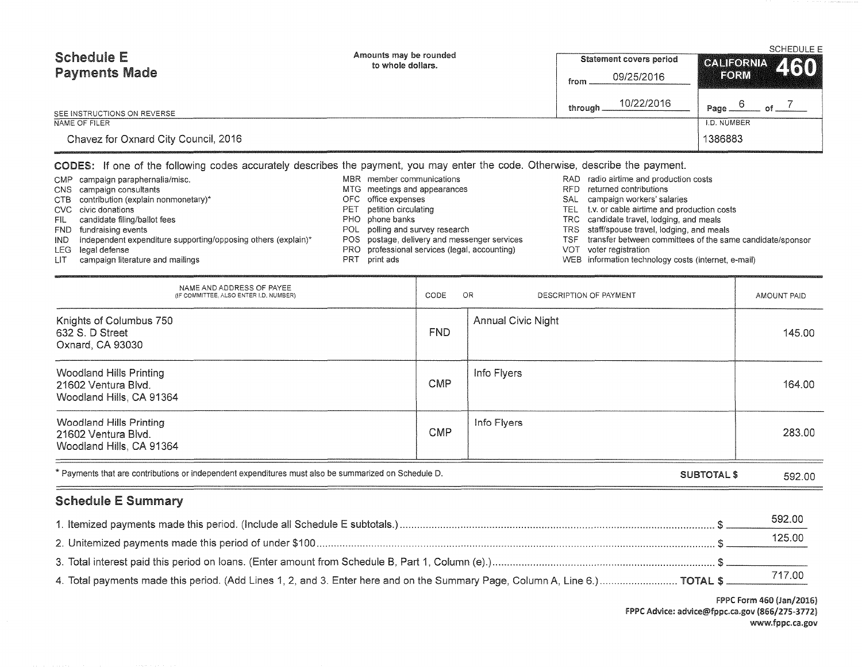| <b>Schedule E</b><br><b>Payments Made</b> | Amounts may be rounded<br>to whole dollars. | Statement covers period                                                                                                                                                                                                                   | SCHEDULE E<br>CALIFORNIA 460 |  |
|-------------------------------------------|---------------------------------------------|-------------------------------------------------------------------------------------------------------------------------------------------------------------------------------------------------------------------------------------------|------------------------------|--|
|                                           |                                             | 09/25/2016<br>from                                                                                                                                                                                                                        | FORM                         |  |
| SEE INSTRUCTIONS ON REVERSE               |                                             | 10/22/2016<br>through                                                                                                                                                                                                                     | Page.                        |  |
| NAME OF FILER                             |                                             |                                                                                                                                                                                                                                           | I.D. NUMBER                  |  |
| Chavez for Oxnard City Council, 2016      |                                             |                                                                                                                                                                                                                                           | 1386883                      |  |
| ______                                    |                                             | $\mathcal{A} = \mathcal{A}$ and the contract of the contract of the contract of the contract of the contract of the contract of the contract of the contract of the contract of the contract of the contract of the contract of the contr |                              |  |

## CODES: ff one of the following codes accurately describes the payment, you may enter the code. Otherwise, describe the payment.

|      | CMP campaign paraphernalia/misc.                                  |     | MBR member communications                     | RAD.       | radio airtime and production costs                        |
|------|-------------------------------------------------------------------|-----|-----------------------------------------------|------------|-----------------------------------------------------------|
|      | CNS campaign consultants                                          |     | MTG meetings and appearances                  | <b>RFD</b> | returned contributions                                    |
|      | CTB contribution (explain nonmonetary)*                           |     | OFC office expenses                           | SAL        | campaign workers' salaries                                |
|      | CVC civic donations                                               | PET | petition circulating                          |            | TEL t.v. or cable airtime and production costs            |
|      | FIL candidate filing/ballot fees                                  |     | PHO phone banks                               |            | TRC candidate travel, lodging, and meals                  |
|      | FND fundraising events                                            |     | POL polling and survey research               |            | TRS staff/spouse travel, lodging, and meals               |
|      | IND independent expenditure supporting/opposing others (explain)* |     | POS postage, delivery and messenger services  | TSF        | transfer between committees of the same candidate/sponsor |
|      | LEG legal defense                                                 |     | PRO professional services (legal, accounting) |            | VOT voter registration                                    |
| LIT. | campaign literature and mailings                                  |     | print ads                                     |            | WEB information technology costs (internet, e-mail)       |

| NAME AND ADDRESS OF PAYEE<br>(IF COMMITTEE, ALSO ENTER I,D, NUMBER)                                  | CODE       | OR<br>DESCRIPTION OF PAYMENT | AMOUNT PAID |
|------------------------------------------------------------------------------------------------------|------------|------------------------------|-------------|
| Knights of Columbus 750<br>632 S. D Street<br>Oxnard, CA 93030                                       | FND.       | <b>Annual Civic Night</b>    | 145.00      |
| Woodland Hills Printing<br>21602 Ventura Blvd.<br>Woodland Hills, CA 91364                           | <b>CMP</b> | Info Flyers                  | 164.00      |
| Woodland Hills Printing<br>21602 Ventura Blvd.<br>Woodland Hills, CA 91364                           | <b>CMP</b> | Info Flyers                  | 283.00      |
| * Payments that are contributions or independent expenditures must also be summarized on Schedule D. |            | <b>SUBTOTAL \$</b>           | 592.00      |

## Schedule E Summary

|                                                                                                                             | 592.00 |  |
|-----------------------------------------------------------------------------------------------------------------------------|--------|--|
|                                                                                                                             | 125.00 |  |
|                                                                                                                             |        |  |
| 4. Total payments made this period. (Add Lines 1, 2, and 3. Enter here and on the Summary Page, Column A, Line 6.) TOTAL \$ |        |  |